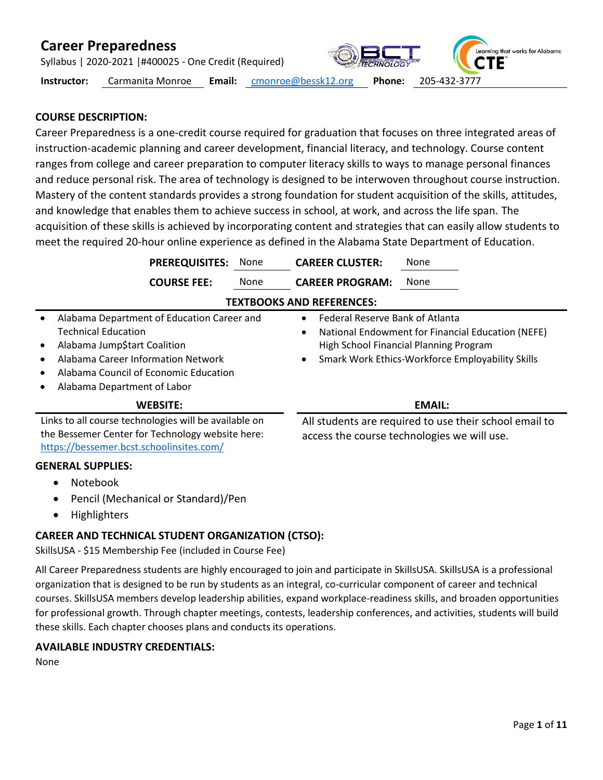Syllabus | 2020-2021 |#400025 - One Credit (Required)

**Instructor:** Carmanita Monroe **Email:** [cmonroe@bessk12.org](mailto:cmonroe@bessk12.org) **Phone:** 205-432-3777

Learning that works for Alabama

**CTE** 

### **COURSE DESCRIPTION:**

Career Preparedness is a one-credit course required for graduation that focuses on three integrated areas of instruction-academic planning and career development, financial literacy, and technology. Course content ranges from college and career preparation to computer literacy skills to ways to manage personal finances and reduce personal risk. The area of technology is designed to be interwoven throughout course instruction. Mastery of the content standards provides a strong foundation for student acquisition of the skills, attitudes, and knowledge that enables them to achieve success in school, at work, and across the life span. The acquisition of these skills is achieved by incorporating content and strategies that can easily allow students to meet the required 20-hour online experience as defined in the Alabama State Department of Education.

**PREREQUISITES:** None **CAREER CLUSTER:** None **COURSE FEE:** None **CAREER PROGRAM:** None **TEXTBOOKS AND REFERENCES:** • Alabama Department of Education Career and Technical Education • Alabama Jump\$tart Coalition • Alabama Career Information Network • Alabama Council of Economic Education • Alabama Department of Labor • Federal Reserve Bank of Atlanta • National Endowment for Financial Education (NEFE) High School Financial Planning Program • Smark Work Ethics-Workforce Employability Skills **WEBSITE: EMAIL:** Links to all course technologies will be available on the Bessemer Center for Technology website here: <https://bessemer.bcst.schoolinsites.com/> All students are required to use their school email to access the course technologies we will use.

#### **GENERAL SUPPLIES:**

- Notebook
- Pencil (Mechanical or Standard)/Pen
- Highlighters

### **CAREER AND TECHNICAL STUDENT ORGANIZATION (CTSO):**

SkillsUSA - \$15 Membership Fee (included in Course Fee)

All Career Preparedness students are highly encouraged to join and participate in SkillsUSA. SkillsUSA is a professional organization that is designed to be run by students as an integral, co-curricular component of career and technical courses. SkillsUSA members develop leadership abilities, expand workplace-readiness skills, and broaden opportunities for professional growth. Through chapter meetings, contests, leadership conferences, and activities, students will build these skills. Each chapter chooses plans and conducts its operations.

### **AVAILABLE INDUSTRY CREDENTIALS:**

None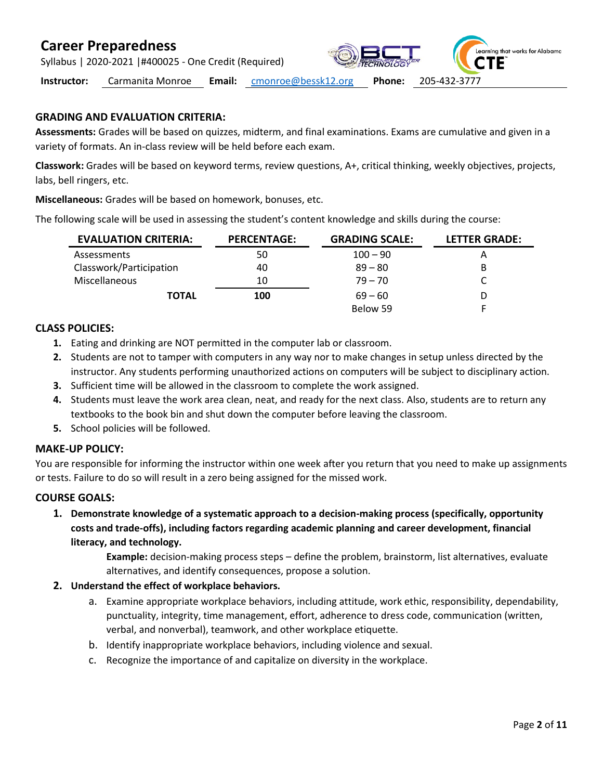Syllabus | 2020-2021 |#400025 - One Credit (Required)



**Instructor:** Carmanita Monroe **Email:** [cmonroe@bessk12.org](mailto:cmonroe@bessk12.org) **Phone:** 205-432-3777

### **GRADING AND EVALUATION CRITERIA:**

**Assessments:** Grades will be based on quizzes, midterm, and final examinations. Exams are cumulative and given in a variety of formats. An in-class review will be held before each exam.

**Classwork:** Grades will be based on keyword terms, review questions, A+, critical thinking, weekly objectives, projects, labs, bell ringers, etc.

**Miscellaneous:** Grades will be based on homework, bonuses, etc.

The following scale will be used in assessing the student's content knowledge and skills during the course:

| <b>EVALUATION CRITERIA:</b> | <b>PERCENTAGE:</b> | <b>GRADING SCALE:</b> | <b>LETTER GRADE:</b> |
|-----------------------------|--------------------|-----------------------|----------------------|
| Assessments                 | 50                 | $100 - 90$            | A                    |
| Classwork/Participation     | 40                 | $89 - 80$             | В                    |
| <b>Miscellaneous</b>        | 10                 | $79 - 70$             |                      |
| <b>TOTAL</b>                | 100                | $69 - 60$             |                      |
|                             |                    | Below 59              |                      |

### **CLASS POLICIES:**

- **1.** Eating and drinking are NOT permitted in the computer lab or classroom.
- **2.** Students are not to tamper with computers in any way nor to make changes in setup unless directed by the instructor. Any students performing unauthorized actions on computers will be subject to disciplinary action.
- **3.** Sufficient time will be allowed in the classroom to complete the work assigned.
- **4.** Students must leave the work area clean, neat, and ready for the next class. Also, students are to return any textbooks to the book bin and shut down the computer before leaving the classroom.
- **5.** School policies will be followed.

### **MAKE-UP POLICY:**

You are responsible for informing the instructor within one week after you return that you need to make up assignments or tests. Failure to do so will result in a zero being assigned for the missed work.

### **COURSE GOALS:**

**1. Demonstrate knowledge of a systematic approach to a decision-making process (specifically, opportunity costs and trade-offs), including factors regarding academic planning and career development, financial literacy, and technology.** 

> **Example:** decision-making process steps – define the problem, brainstorm, list alternatives, evaluate alternatives, and identify consequences, propose a solution.

- **2. Understand the effect of workplace behaviors.**
	- a. Examine appropriate workplace behaviors, including attitude, work ethic, responsibility, dependability, punctuality, integrity, time management, effort, adherence to dress code, communication (written, verbal, and nonverbal), teamwork, and other workplace etiquette.
	- b. Identify inappropriate workplace behaviors, including violence and sexual.
	- c. Recognize the importance of and capitalize on diversity in the workplace.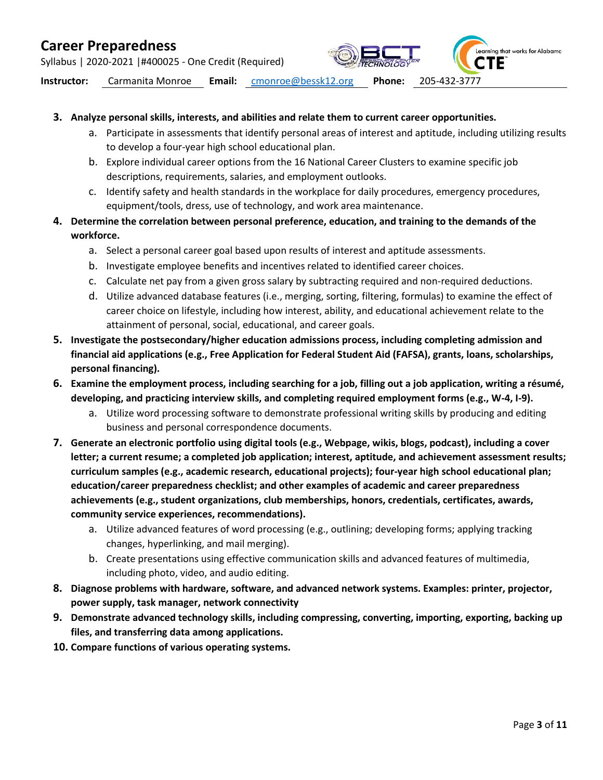Syllabus | 2020-2021 |#400025 - One Credit (Required)

Learning that works for Alabama

**Instructor:** Carmanita Monroe **Email:** [cmonroe@bessk12.org](mailto:cmonroe@bessk12.org) **Phone:** 205-432-3777

#### **3. Analyze personal skills, interests, and abilities and relate them to current career opportunities.**

- a. Participate in assessments that identify personal areas of interest and aptitude, including utilizing results to develop a four-year high school educational plan.
- b. Explore individual career options from the 16 National Career Clusters to examine specific job descriptions, requirements, salaries, and employment outlooks.
- c. Identify safety and health standards in the workplace for daily procedures, emergency procedures, equipment/tools, dress, use of technology, and work area maintenance.
- **4. Determine the correlation between personal preference, education, and training to the demands of the workforce.**
	- a. Select a personal career goal based upon results of interest and aptitude assessments.
	- b. Investigate employee benefits and incentives related to identified career choices.
	- c. Calculate net pay from a given gross salary by subtracting required and non-required deductions.
	- d. Utilize advanced database features (i.e., merging, sorting, filtering, formulas) to examine the effect of career choice on lifestyle, including how interest, ability, and educational achievement relate to the attainment of personal, social, educational, and career goals.
- **5. Investigate the postsecondary/higher education admissions process, including completing admission and financial aid applications (e.g., Free Application for Federal Student Aid (FAFSA), grants, loans, scholarships, personal financing).**
- **6. Examine the employment process, including searching for a job, filling out a job application, writing a résumé, developing, and practicing interview skills, and completing required employment forms (e.g., W-4, I-9).**
	- a. Utilize word processing software to demonstrate professional writing skills by producing and editing business and personal correspondence documents.
- **7. Generate an electronic portfolio using digital tools (e.g., Webpage, wikis, blogs, podcast), including a cover letter; a current resume; a completed job application; interest, aptitude, and achievement assessment results; curriculum samples (e.g., academic research, educational projects); four-year high school educational plan; education/career preparedness checklist; and other examples of academic and career preparedness achievements (e.g., student organizations, club memberships, honors, credentials, certificates, awards, community service experiences, recommendations).**
	- a. Utilize advanced features of word processing (e.g., outlining; developing forms; applying tracking changes, hyperlinking, and mail merging).
	- b. Create presentations using effective communication skills and advanced features of multimedia, including photo, video, and audio editing.
- **8. Diagnose problems with hardware, software, and advanced network systems. Examples: printer, projector, power supply, task manager, network connectivity**
- **9. Demonstrate advanced technology skills, including compressing, converting, importing, exporting, backing up files, and transferring data among applications.**
- **10. Compare functions of various operating systems.**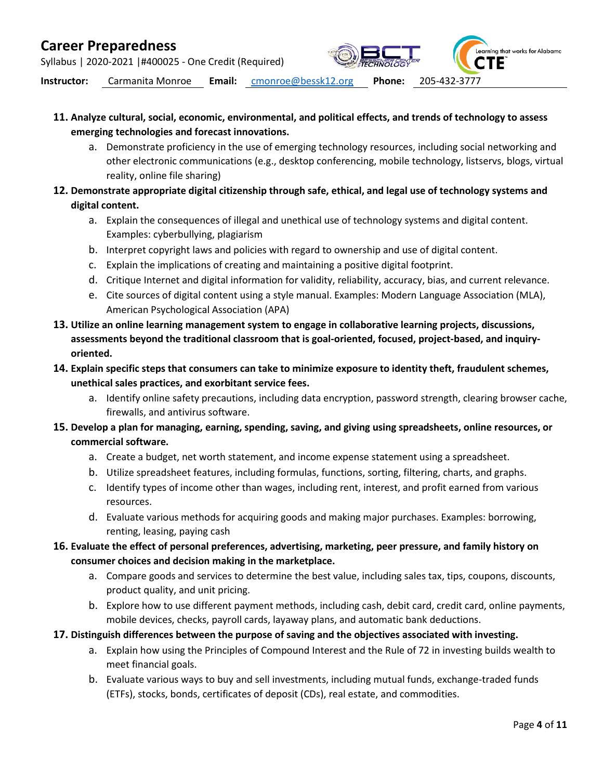Syllabus | 2020-2021 |#400025 - One Credit (Required)



- **11. Analyze cultural, social, economic, environmental, and political effects, and trends of technology to assess emerging technologies and forecast innovations.** 
	- a. Demonstrate proficiency in the use of emerging technology resources, including social networking and other electronic communications (e.g., desktop conferencing, mobile technology, listservs, blogs, virtual reality, online file sharing)
- **12. Demonstrate appropriate digital citizenship through safe, ethical, and legal use of technology systems and digital content.** 
	- a. Explain the consequences of illegal and unethical use of technology systems and digital content. Examples: cyberbullying, plagiarism
	- b. Interpret copyright laws and policies with regard to ownership and use of digital content.
	- c. Explain the implications of creating and maintaining a positive digital footprint.
	- d. Critique Internet and digital information for validity, reliability, accuracy, bias, and current relevance.
	- e. Cite sources of digital content using a style manual. Examples: Modern Language Association (MLA), American Psychological Association (APA)
- **13. Utilize an online learning management system to engage in collaborative learning projects, discussions, assessments beyond the traditional classroom that is goal-oriented, focused, project-based, and inquiryoriented.**
- **14. Explain specific steps that consumers can take to minimize exposure to identity theft, fraudulent schemes, unethical sales practices, and exorbitant service fees.** 
	- a. Identify online safety precautions, including data encryption, password strength, clearing browser cache, firewalls, and antivirus software.
- **15. Develop a plan for managing, earning, spending, saving, and giving using spreadsheets, online resources, or commercial software.** 
	- a. Create a budget, net worth statement, and income expense statement using a spreadsheet.
	- b. Utilize spreadsheet features, including formulas, functions, sorting, filtering, charts, and graphs.
	- c. Identify types of income other than wages, including rent, interest, and profit earned from various resources.
	- d. Evaluate various methods for acquiring goods and making major purchases. Examples: borrowing, renting, leasing, paying cash
- **16. Evaluate the effect of personal preferences, advertising, marketing, peer pressure, and family history on consumer choices and decision making in the marketplace.** 
	- a. Compare goods and services to determine the best value, including sales tax, tips, coupons, discounts, product quality, and unit pricing.
	- b. Explore how to use different payment methods, including cash, debit card, credit card, online payments, mobile devices, checks, payroll cards, layaway plans, and automatic bank deductions.
- **17. Distinguish differences between the purpose of saving and the objectives associated with investing.** 
	- a. Explain how using the Principles of Compound Interest and the Rule of 72 in investing builds wealth to meet financial goals.
	- b. Evaluate various ways to buy and sell investments, including mutual funds, exchange-traded funds (ETFs), stocks, bonds, certificates of deposit (CDs), real estate, and commodities.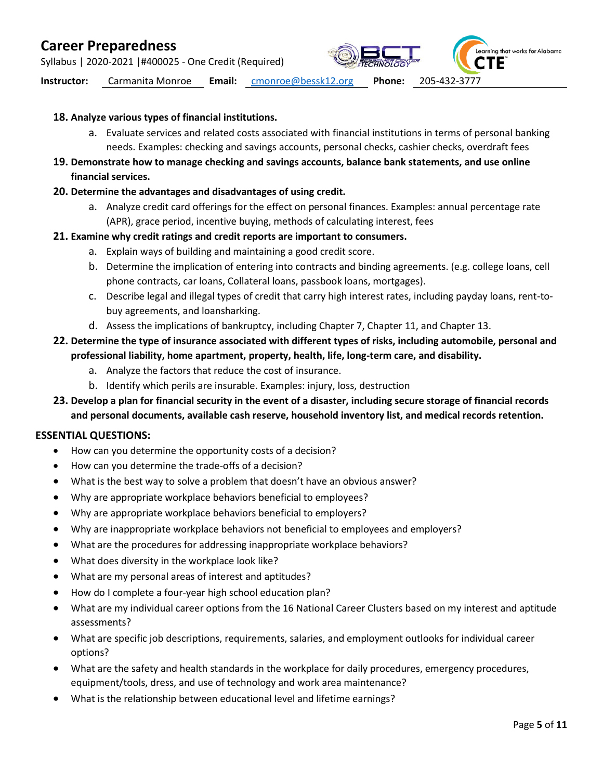Syllabus | 2020-2021 |#400025 - One Credit (Required)

Learning that works for Alabama

**Instructor:** Carmanita Monroe **Email:** [cmonroe@bessk12.org](mailto:cmonroe@bessk12.org) **Phone:** 205-432-3777

#### **18. Analyze various types of financial institutions.**

- a. Evaluate services and related costs associated with financial institutions in terms of personal banking needs. Examples: checking and savings accounts, personal checks, cashier checks, overdraft fees
- **19. Demonstrate how to manage checking and savings accounts, balance bank statements, and use online financial services.**
- **20. Determine the advantages and disadvantages of using credit.** 
	- a. Analyze credit card offerings for the effect on personal finances. Examples: annual percentage rate (APR), grace period, incentive buying, methods of calculating interest, fees

#### **21. Examine why credit ratings and credit reports are important to consumers.**

- a. Explain ways of building and maintaining a good credit score.
- b. Determine the implication of entering into contracts and binding agreements. (e.g. college loans, cell phone contracts, car loans, Collateral loans, passbook loans, mortgages).
- c. Describe legal and illegal types of credit that carry high interest rates, including payday loans, rent-tobuy agreements, and loansharking.
- d. Assess the implications of bankruptcy, including Chapter 7, Chapter 11, and Chapter 13.

### **22. Determine the type of insurance associated with different types of risks, including automobile, personal and professional liability, home apartment, property, health, life, long-term care, and disability.**

- a. Analyze the factors that reduce the cost of insurance.
- b. Identify which perils are insurable. Examples: injury, loss, destruction
- **23. Develop a plan for financial security in the event of a disaster, including secure storage of financial records and personal documents, available cash reserve, household inventory list, and medical records retention.**

#### **ESSENTIAL QUESTIONS:**

- How can you determine the opportunity costs of a decision?
- How can you determine the trade-offs of a decision?
- What is the best way to solve a problem that doesn't have an obvious answer?
- Why are appropriate workplace behaviors beneficial to employees?
- Why are appropriate workplace behaviors beneficial to employers?
- Why are inappropriate workplace behaviors not beneficial to employees and employers?
- What are the procedures for addressing inappropriate workplace behaviors?
- What does diversity in the workplace look like?
- What are my personal areas of interest and aptitudes?
- How do I complete a four-year high school education plan?
- What are my individual career options from the 16 National Career Clusters based on my interest and aptitude assessments?
- What are specific job descriptions, requirements, salaries, and employment outlooks for individual career options?
- What are the safety and health standards in the workplace for daily procedures, emergency procedures, equipment/tools, dress, and use of technology and work area maintenance?
- What is the relationship between educational level and lifetime earnings?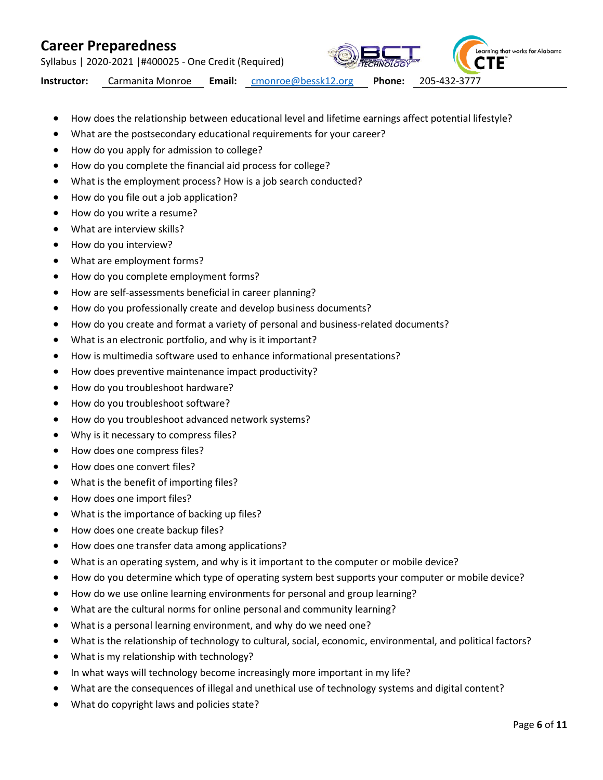Syllabus | 2020-2021 |#400025 - One Credit (Required)

Learning that works for Alabama ΤE

- How does the relationship between educational level and lifetime earnings affect potential lifestyle?
- What are the postsecondary educational requirements for your career?
- How do you apply for admission to college?
- How do you complete the financial aid process for college?
- What is the employment process? How is a job search conducted?
- How do you file out a job application?
- How do you write a resume?
- What are interview skills?
- How do you interview?
- What are employment forms?
- How do you complete employment forms?
- How are self-assessments beneficial in career planning?
- How do you professionally create and develop business documents?
- How do you create and format a variety of personal and business-related documents?
- What is an electronic portfolio, and why is it important?
- How is multimedia software used to enhance informational presentations?
- How does preventive maintenance impact productivity?
- How do you troubleshoot hardware?
- How do you troubleshoot software?
- How do you troubleshoot advanced network systems?
- Why is it necessary to compress files?
- How does one compress files?
- How does one convert files?
- What is the benefit of importing files?
- How does one import files?
- What is the importance of backing up files?
- How does one create backup files?
- How does one transfer data among applications?
- What is an operating system, and why is it important to the computer or mobile device?
- How do you determine which type of operating system best supports your computer or mobile device?
- How do we use online learning environments for personal and group learning?
- What are the cultural norms for online personal and community learning?
- What is a personal learning environment, and why do we need one?
- What is the relationship of technology to cultural, social, economic, environmental, and political factors?
- What is my relationship with technology?
- In what ways will technology become increasingly more important in my life?
- What are the consequences of illegal and unethical use of technology systems and digital content?
- What do copyright laws and policies state?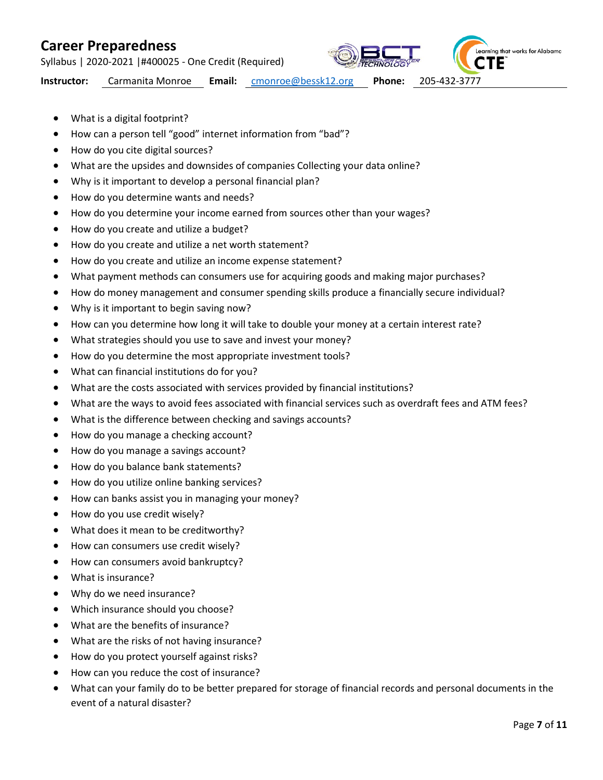Syllabus | 2020-2021 |#400025 - One Credit (Required)



Learning that works for Alabama **CTE** 

- What is a digital footprint?
- How can a person tell "good" internet information from "bad"?
- How do you cite digital sources?
- What are the upsides and downsides of companies Collecting your data online?
- Why is it important to develop a personal financial plan?
- How do you determine wants and needs?
- How do you determine your income earned from sources other than your wages?
- How do you create and utilize a budget?
- How do you create and utilize a net worth statement?
- How do you create and utilize an income expense statement?
- What payment methods can consumers use for acquiring goods and making major purchases?
- How do money management and consumer spending skills produce a financially secure individual?
- Why is it important to begin saving now?
- How can you determine how long it will take to double your money at a certain interest rate?
- What strategies should you use to save and invest your money?
- How do you determine the most appropriate investment tools?
- What can financial institutions do for you?
- What are the costs associated with services provided by financial institutions?
- What are the ways to avoid fees associated with financial services such as overdraft fees and ATM fees?
- What is the difference between checking and savings accounts?
- How do you manage a checking account?
- How do you manage a savings account?
- How do you balance bank statements?
- How do you utilize online banking services?
- How can banks assist you in managing your money?
- How do you use credit wisely?
- What does it mean to be creditworthy?
- How can consumers use credit wisely?
- How can consumers avoid bankruptcy?
- What is insurance?
- Why do we need insurance?
- Which insurance should you choose?
- What are the benefits of insurance?
- What are the risks of not having insurance?
- How do you protect yourself against risks?
- How can you reduce the cost of insurance?
- What can your family do to be better prepared for storage of financial records and personal documents in the event of a natural disaster?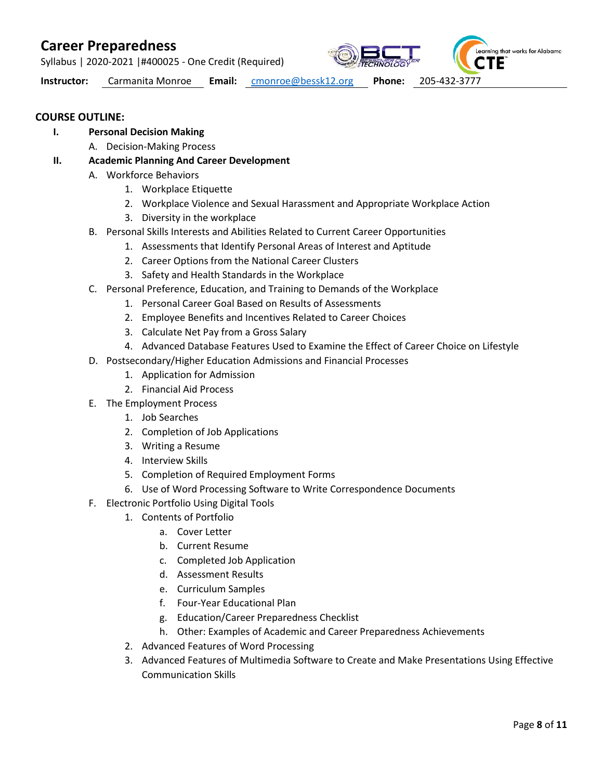Syllabus | 2020-2021 |#400025 - One Credit (Required)



**Instructor:** Carmanita Monroe **Email:** [cmonroe@bessk12.org](mailto:cmonroe@bessk12.org) **Phone:** 205-432-3777

### **COURSE OUTLINE:**

- **I. Personal Decision Making**
	- A. Decision-Making Process
- **II. Academic Planning And Career Development**
	- A. Workforce Behaviors
		- 1. Workplace Etiquette
		- 2. Workplace Violence and Sexual Harassment and Appropriate Workplace Action
		- 3. Diversity in the workplace
	- B. Personal Skills Interests and Abilities Related to Current Career Opportunities
		- 1. Assessments that Identify Personal Areas of Interest and Aptitude
		- 2. Career Options from the National Career Clusters
		- 3. Safety and Health Standards in the Workplace
	- C. Personal Preference, Education, and Training to Demands of the Workplace
		- 1. Personal Career Goal Based on Results of Assessments
		- 2. Employee Benefits and Incentives Related to Career Choices
		- 3. Calculate Net Pay from a Gross Salary
		- 4. Advanced Database Features Used to Examine the Effect of Career Choice on Lifestyle
	- D. Postsecondary/Higher Education Admissions and Financial Processes
		- 1. Application for Admission
		- 2. Financial Aid Process
	- E. The Employment Process
		- 1. Job Searches
		- 2. Completion of Job Applications
		- 3. Writing a Resume
		- 4. Interview Skills
		- 5. Completion of Required Employment Forms
		- 6. Use of Word Processing Software to Write Correspondence Documents
	- F. Electronic Portfolio Using Digital Tools
		- 1. Contents of Portfolio
			- a. Cover Letter
			- b. Current Resume
			- c. Completed Job Application
			- d. Assessment Results
			- e. Curriculum Samples
			- f. Four-Year Educational Plan
			- g. Education/Career Preparedness Checklist
			- h. Other: Examples of Academic and Career Preparedness Achievements
		- 2. Advanced Features of Word Processing
		- 3. Advanced Features of Multimedia Software to Create and Make Presentations Using Effective Communication Skills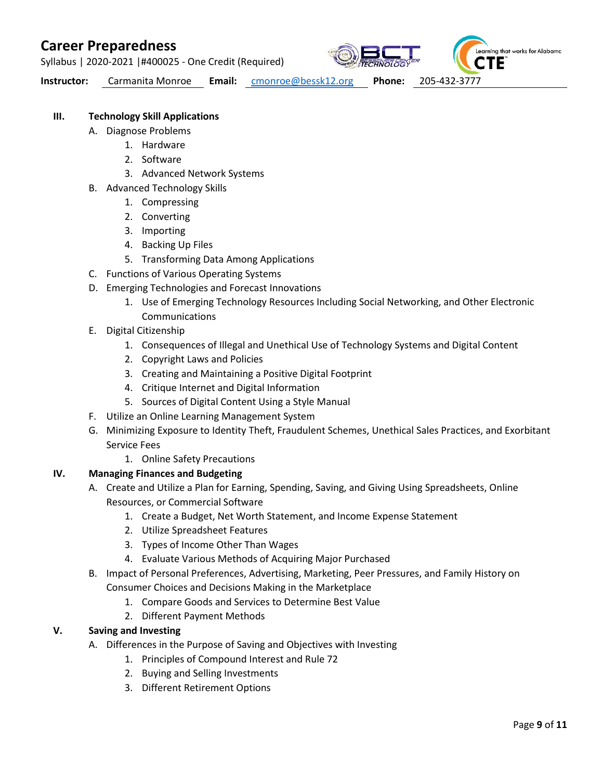Syllabus | 2020-2021 |#400025 - One Credit (Required)



**Instructor:** Carmanita Monroe **Email:** [cmonroe@bessk12.org](mailto:cmonroe@bessk12.org) **Phone:** 205-432-3777

### **III. Technology Skill Applications**

- A. Diagnose Problems
	- 1. Hardware
	- 2. Software
	- 3. Advanced Network Systems
- B. Advanced Technology Skills
	- 1. Compressing
	- 2. Converting
	- 3. Importing
	- 4. Backing Up Files
	- 5. Transforming Data Among Applications
- C. Functions of Various Operating Systems
- D. Emerging Technologies and Forecast Innovations
	- 1. Use of Emerging Technology Resources Including Social Networking, and Other Electronic Communications
- E. Digital Citizenship
	- 1. Consequences of Illegal and Unethical Use of Technology Systems and Digital Content
	- 2. Copyright Laws and Policies
	- 3. Creating and Maintaining a Positive Digital Footprint
	- 4. Critique Internet and Digital Information
	- 5. Sources of Digital Content Using a Style Manual
- F. Utilize an Online Learning Management System
- G. Minimizing Exposure to Identity Theft, Fraudulent Schemes, Unethical Sales Practices, and Exorbitant Service Fees
	- 1. Online Safety Precautions

#### **IV. Managing Finances and Budgeting**

- A. Create and Utilize a Plan for Earning, Spending, Saving, and Giving Using Spreadsheets, Online Resources, or Commercial Software
	- 1. Create a Budget, Net Worth Statement, and Income Expense Statement
	- 2. Utilize Spreadsheet Features
	- 3. Types of Income Other Than Wages
	- 4. Evaluate Various Methods of Acquiring Major Purchased
- B. Impact of Personal Preferences, Advertising, Marketing, Peer Pressures, and Family History on Consumer Choices and Decisions Making in the Marketplace
	- 1. Compare Goods and Services to Determine Best Value
	- 2. Different Payment Methods

### **V. Saving and Investing**

- A. Differences in the Purpose of Saving and Objectives with Investing
	- 1. Principles of Compound Interest and Rule 72
	- 2. Buying and Selling Investments
	- 3. Different Retirement Options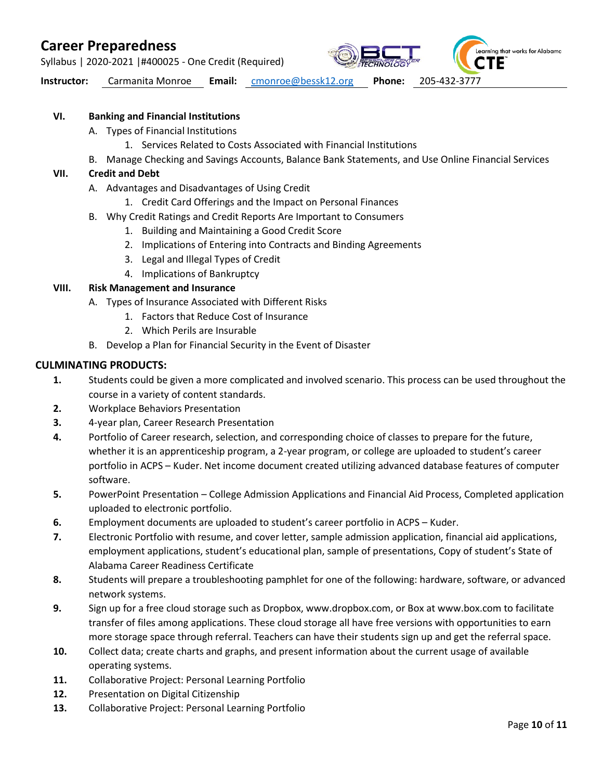Syllabus | 2020-2021 |#400025 - One Credit (Required)

Learning that works for Alabama

**Instructor:** Carmanita Monroe **Email:** [cmonroe@bessk12.org](mailto:cmonroe@bessk12.org) **Phone:** 205-432-3777

#### **VI. Banking and Financial Institutions**

- A. Types of Financial Institutions
	- 1. Services Related to Costs Associated with Financial Institutions
- B. Manage Checking and Savings Accounts, Balance Bank Statements, and Use Online Financial Services

#### **VII. Credit and Debt**

- A. Advantages and Disadvantages of Using Credit
	- 1. Credit Card Offerings and the Impact on Personal Finances
- B. Why Credit Ratings and Credit Reports Are Important to Consumers
	- 1. Building and Maintaining a Good Credit Score
	- 2. Implications of Entering into Contracts and Binding Agreements
	- 3. Legal and Illegal Types of Credit
	- 4. Implications of Bankruptcy

#### **VIII. Risk Management and Insurance**

- A. Types of Insurance Associated with Different Risks
	- 1. Factors that Reduce Cost of Insurance
	- 2. Which Perils are Insurable
- B. Develop a Plan for Financial Security in the Event of Disaster

#### **CULMINATING PRODUCTS:**

- **1.** Students could be given a more complicated and involved scenario. This process can be used throughout the course in a variety of content standards.
- **2.** Workplace Behaviors Presentation
- **3.** 4-year plan, Career Research Presentation
- **4.** Portfolio of Career research, selection, and corresponding choice of classes to prepare for the future, whether it is an apprenticeship program, a 2-year program, or college are uploaded to student's career portfolio in ACPS – Kuder. Net income document created utilizing advanced database features of computer software.
- **5.** PowerPoint Presentation College Admission Applications and Financial Aid Process, Completed application uploaded to electronic portfolio.
- **6.** Employment documents are uploaded to student's career portfolio in ACPS Kuder.
- **7.** Electronic Portfolio with resume, and cover letter, sample admission application, financial aid applications, employment applications, student's educational plan, sample of presentations, Copy of student's State of Alabama Career Readiness Certificate
- **8.** Students will prepare a troubleshooting pamphlet for one of the following: hardware, software, or advanced network systems.
- **9.** Sign up for a free cloud storage such as Dropbox, www.dropbox.com, or Box at www.box.com to facilitate transfer of files among applications. These cloud storage all have free versions with opportunities to earn more storage space through referral. Teachers can have their students sign up and get the referral space.
- **10.** Collect data; create charts and graphs, and present information about the current usage of available operating systems.
- **11.** Collaborative Project: Personal Learning Portfolio
- **12.** Presentation on Digital Citizenship
- **13.** Collaborative Project: Personal Learning Portfolio